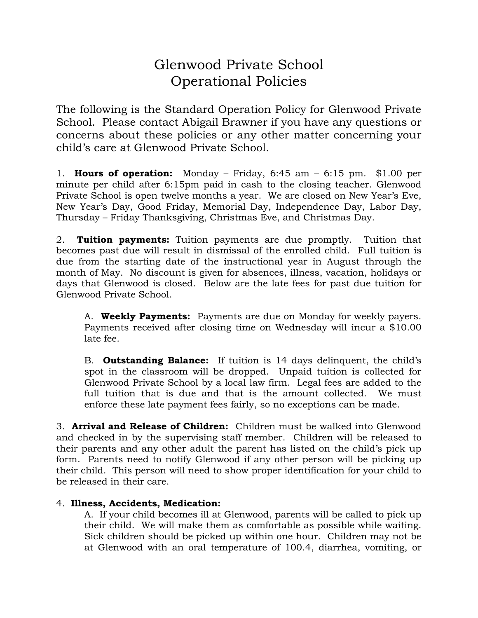## Glenwood Private School Operational Policies

The following is the Standard Operation Policy for Glenwood Private School. Please contact Abigail Brawner if you have any questions or concerns about these policies or any other matter concerning your child's care at Glenwood Private School.

1. **Hours of operation:** Monday – Friday, 6:45 am – 6:15 pm. \$1.00 per minute per child after 6:15pm paid in cash to the closing teacher. Glenwood Private School is open twelve months a year. We are closed on New Year's Eve, New Year's Day, Good Friday, Memorial Day, Independence Day, Labor Day, Thursday – Friday Thanksgiving, Christmas Eve, and Christmas Day.

2. **Tuition payments:** Tuition payments are due promptly. Tuition that becomes past due will result in dismissal of the enrolled child. Full tuition is due from the starting date of the instructional year in August through the month of May. No discount is given for absences, illness, vacation, holidays or days that Glenwood is closed. Below are the late fees for past due tuition for Glenwood Private School.

A. **Weekly Payments:** Payments are due on Monday for weekly payers. Payments received after closing time on Wednesday will incur a \$10.00 late fee.

B. **Outstanding Balance:** If tuition is 14 days delinquent, the child's spot in the classroom will be dropped. Unpaid tuition is collected for Glenwood Private School by a local law firm. Legal fees are added to the full tuition that is due and that is the amount collected. We must enforce these late payment fees fairly, so no exceptions can be made.

3. **Arrival and Release of Children:** Children must be walked into Glenwood and checked in by the supervising staff member. Children will be released to their parents and any other adult the parent has listed on the child's pick up form. Parents need to notify Glenwood if any other person will be picking up their child. This person will need to show proper identification for your child to be released in their care.

## 4. **Illness, Accidents, Medication:**

A. If your child becomes ill at Glenwood, parents will be called to pick up their child. We will make them as comfortable as possible while waiting. Sick children should be picked up within one hour. Children may not be at Glenwood with an oral temperature of 100.4, diarrhea, vomiting, or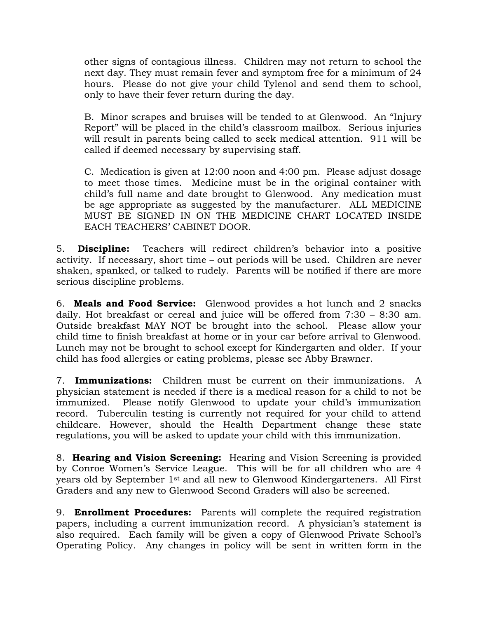other signs of contagious illness. Children may not return to school the next day. They must remain fever and symptom free for a minimum of 24 hours. Please do not give your child Tylenol and send them to school, only to have their fever return during the day.

B. Minor scrapes and bruises will be tended to at Glenwood. An "Injury Report" will be placed in the child's classroom mailbox. Serious injuries will result in parents being called to seek medical attention. 911 will be called if deemed necessary by supervising staff.

C. Medication is given at 12:00 noon and 4:00 pm. Please adjust dosage to meet those times. Medicine must be in the original container with child's full name and date brought to Glenwood. Any medication must be age appropriate as suggested by the manufacturer. ALL MEDICINE MUST BE SIGNED IN ON THE MEDICINE CHART LOCATED INSIDE EACH TEACHERS' CABINET DOOR.

5. **Discipline:** Teachers will redirect children's behavior into a positive activity. If necessary, short time – out periods will be used. Children are never shaken, spanked, or talked to rudely. Parents will be notified if there are more serious discipline problems.

6. **Meals and Food Service:** Glenwood provides a hot lunch and 2 snacks daily. Hot breakfast or cereal and juice will be offered from 7:30 – 8:30 am. Outside breakfast MAY NOT be brought into the school. Please allow your child time to finish breakfast at home or in your car before arrival to Glenwood. Lunch may not be brought to school except for Kindergarten and older. If your child has food allergies or eating problems, please see Abby Brawner.

7. **Immunizations:** Children must be current on their immunizations. A physician statement is needed if there is a medical reason for a child to not be immunized. Please notify Glenwood to update your child's immunization record. Tuberculin testing is currently not required for your child to attend childcare. However, should the Health Department change these state regulations, you will be asked to update your child with this immunization.

8. **Hearing and Vision Screening:** Hearing and Vision Screening is provided by Conroe Women's Service League. This will be for all children who are 4 years old by September 1st and all new to Glenwood Kindergarteners. All First Graders and any new to Glenwood Second Graders will also be screened.

9. **Enrollment Procedures:** Parents will complete the required registration papers, including a current immunization record. A physician's statement is also required. Each family will be given a copy of Glenwood Private School's Operating Policy. Any changes in policy will be sent in written form in the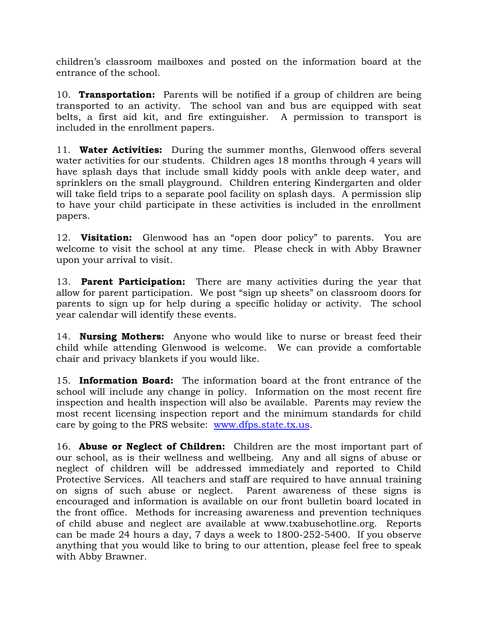children's classroom mailboxes and posted on the information board at the entrance of the school.

10. **Transportation:** Parents will be notified if a group of children are being transported to an activity. The school van and bus are equipped with seat belts, a first aid kit, and fire extinguisher. A permission to transport is included in the enrollment papers.

11. **Water Activities:** During the summer months, Glenwood offers several water activities for our students. Children ages 18 months through 4 years will have splash days that include small kiddy pools with ankle deep water, and sprinklers on the small playground. Children entering Kindergarten and older will take field trips to a separate pool facility on splash days. A permission slip to have your child participate in these activities is included in the enrollment papers.

12. **Visitation:** Glenwood has an "open door policy" to parents. You are welcome to visit the school at any time. Please check in with Abby Brawner upon your arrival to visit.

13. **Parent Participation:** There are many activities during the year that allow for parent participation. We post "sign up sheets" on classroom doors for parents to sign up for help during a specific holiday or activity. The school year calendar will identify these events.

14. **Nursing Mothers:** Anyone who would like to nurse or breast feed their child while attending Glenwood is welcome. We can provide a comfortable chair and privacy blankets if you would like.

15. **Information Board:** The information board at the front entrance of the school will include any change in policy. Information on the most recent fire inspection and health inspection will also be available. Parents may review the most recent licensing inspection report and the minimum standards for child care by going to the PRS website: [www.dfps.state.tx.us.](http://www.dfps.state.tx.us/)

16. **Abuse or Neglect of Children:** Children are the most important part of our school, as is their wellness and wellbeing. Any and all signs of abuse or neglect of children will be addressed immediately and reported to Child Protective Services. All teachers and staff are required to have annual training on signs of such abuse or neglect. Parent awareness of these signs is encouraged and information is available on our front bulletin board located in the front office. Methods for increasing awareness and prevention techniques of child abuse and neglect are available at www.txabusehotline.org. Reports can be made 24 hours a day, 7 days a week to 1800-252-5400. If you observe anything that you would like to bring to our attention, please feel free to speak with Abby Brawner.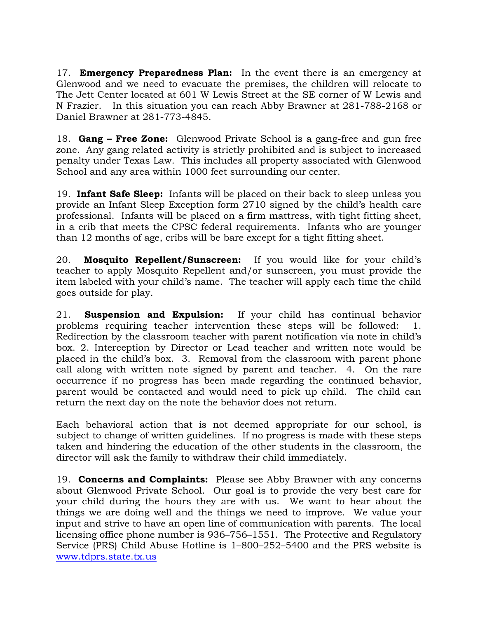17. **Emergency Preparedness Plan:** In the event there is an emergency at Glenwood and we need to evacuate the premises, the children will relocate to The Jett Center located at 601 W Lewis Street at the SE corner of W Lewis and N Frazier. In this situation you can reach Abby Brawner at 281-788-2168 or Daniel Brawner at 281-773-4845.

18. **Gang – Free Zone:** Glenwood Private School is a gang-free and gun free zone. Any gang related activity is strictly prohibited and is subject to increased penalty under Texas Law. This includes all property associated with Glenwood School and any area within 1000 feet surrounding our center.

19. **Infant Safe Sleep:** Infants will be placed on their back to sleep unless you provide an Infant Sleep Exception form 2710 signed by the child's health care professional. Infants will be placed on a firm mattress, with tight fitting sheet, in a crib that meets the CPSC federal requirements. Infants who are younger than 12 months of age, cribs will be bare except for a tight fitting sheet.

20. **Mosquito Repellent/Sunscreen:** If you would like for your child's teacher to apply Mosquito Repellent and/or sunscreen, you must provide the item labeled with your child's name. The teacher will apply each time the child goes outside for play.

21. **Suspension and Expulsion:** If your child has continual behavior problems requiring teacher intervention these steps will be followed: 1. Redirection by the classroom teacher with parent notification via note in child's box. 2. Interception by Director or Lead teacher and written note would be placed in the child's box. 3. Removal from the classroom with parent phone call along with written note signed by parent and teacher. 4. On the rare occurrence if no progress has been made regarding the continued behavior, parent would be contacted and would need to pick up child. The child can return the next day on the note the behavior does not return.

Each behavioral action that is not deemed appropriate for our school, is subject to change of written guidelines. If no progress is made with these steps taken and hindering the education of the other students in the classroom, the director will ask the family to withdraw their child immediately.

19. **Concerns and Complaints:** Please see Abby Brawner with any concerns about Glenwood Private School. Our goal is to provide the very best care for your child during the hours they are with us. We want to hear about the things we are doing well and the things we need to improve. We value your input and strive to have an open line of communication with parents. The local licensing office phone number is 936–756–1551. The Protective and Regulatory Service (PRS) Child Abuse Hotline is 1–800–252–5400 and the PRS website is [www.tdprs.state.tx.us](http://www.tdprs.state.tx.us/)